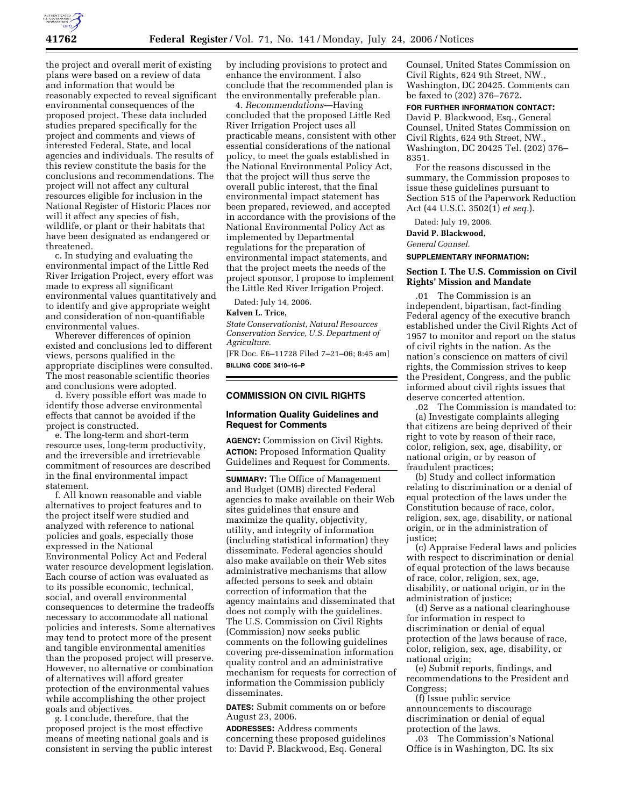

the project and overall merit of existing plans were based on a review of data and information that would be reasonably expected to reveal significant environmental consequences of the proposed project. These data included studies prepared specifically for the project and comments and views of interested Federal, State, and local agencies and individuals. The results of this review constitute the basis for the conclusions and recommendations. The project will not affect any cultural resources eligible for inclusion in the National Register of Historic Places nor will it affect any species of fish, wildlife, or plant or their habitats that have been designated as endangered or threatened.

c. In studying and evaluating the environmental impact of the Little Red River Irrigation Project, every effort was made to express all significant environmental values quantitatively and to identify and give appropriate weight and consideration of non-quantifiable environmental values.

Wherever differences of opinion existed and conclusions led to different views, persons qualified in the appropriate disciplines were consulted. The most reasonable scientific theories and conclusions were adopted.

d. Every possible effort was made to identify those adverse environmental effects that cannot be avoided if the project is constructed.

e. The long-term and short-term resource uses, long-term productivity, and the irreversible and irretrievable commitment of resources are described in the final environmental impact statement.

f. All known reasonable and viable alternatives to project features and to the project itself were studied and analyzed with reference to national policies and goals, especially those expressed in the National Environmental Policy Act and Federal water resource development legislation. Each course of action was evaluated as to its possible economic, technical, social, and overall environmental consequences to determine the tradeoffs necessary to accommodate all national policies and interests. Some alternatives may tend to protect more of the present and tangible environmental amenities than the proposed project will preserve. However, no alternative or combination of alternatives will afford greater protection of the environmental values while accomplishing the other project goals and objectives.

g. I conclude, therefore, that the proposed project is the most effective means of meeting national goals and is consistent in serving the public interest by including provisions to protect and enhance the environment. I also conclude that the recommended plan is the environmentally preferable plan.

4. *Recommendations*—Having concluded that the proposed Little Red River Irrigation Project uses all practicable means, consistent with other essential considerations of the national policy, to meet the goals established in the National Environmental Policy Act, that the project will thus serve the overall public interest, that the final environmental impact statement has been prepared, reviewed, and accepted in accordance with the provisions of the National Environmental Policy Act as implemented by Departmental regulations for the preparation of environmental impact statements, and that the project meets the needs of the project sponsor, I propose to implement the Little Red River Irrigation Project.

Dated: July 14, 2006.

# **Kalven L. Trice,**

*State Conservationist, Natural Resources Conservation Service, U.S. Department of Agriculture.* 

[FR Doc. E6–11728 Filed 7–21–06; 8:45 am] **BILLING CODE 3410–16–P** 

# **COMMISSION ON CIVIL RIGHTS**

# **Information Quality Guidelines and Request for Comments**

**AGENCY:** Commission on Civil Rights. **ACTION:** Proposed Information Quality Guidelines and Request for Comments.

**SUMMARY:** The Office of Management and Budget (OMB) directed Federal agencies to make available on their Web sites guidelines that ensure and maximize the quality, objectivity, utility, and integrity of information (including statistical information) they disseminate. Federal agencies should also make available on their Web sites administrative mechanisms that allow affected persons to seek and obtain correction of information that the agency maintains and disseminated that does not comply with the guidelines. The U.S. Commission on Civil Rights (Commission) now seeks public comments on the following guidelines covering pre-dissemination information quality control and an administrative mechanism for requests for correction of information the Commission publicly disseminates.

**DATES:** Submit comments on or before August 23, 2006.

**ADDRESSES:** Address comments concerning these proposed guidelines to: David P. Blackwood, Esq. General

Counsel, United States Commission on Civil Rights, 624 9th Street, NW., Washington, DC 20425. Comments can be faxed to (202) 376–7672.

#### **FOR FURTHER INFORMATION CONTACT:**

David P. Blackwood, Esq., General Counsel, United States Commission on Civil Rights, 624 9th Street, NW., Washington, DC 20425 Tel. (202) 376– 8351.

For the reasons discussed in the summary, the Commission proposes to issue these guidelines pursuant to Section 515 of the Paperwork Reduction Act (44 U.S.C. 3502(1) *et seq.*).

Dated: July 19, 2006.

**David P. Blackwood,** 

*General Counsel.* 

**SUPPLEMENTARY INFORMATION:** 

### **Section I. The U.S. Commission on Civil Rights' Mission and Mandate**

.01 The Commission is an independent, bipartisan, fact-finding Federal agency of the executive branch established under the Civil Rights Act of 1957 to monitor and report on the status of civil rights in the nation. As the nation's conscience on matters of civil rights, the Commission strives to keep the President, Congress, and the public informed about civil rights issues that deserve concerted attention.

.02 The Commission is mandated to: (a) Investigate complaints alleging that citizens are being deprived of their right to vote by reason of their race, color, religion, sex, age, disability, or national origin, or by reason of fraudulent practices;

(b) Study and collect information relating to discrimination or a denial of equal protection of the laws under the Constitution because of race, color, religion, sex, age, disability, or national origin, or in the administration of justice;

(c) Appraise Federal laws and policies with respect to discrimination or denial of equal protection of the laws because of race, color, religion, sex, age, disability, or national origin, or in the administration of justice;

(d) Serve as a national clearinghouse for information in respect to discrimination or denial of equal protection of the laws because of race, color, religion, sex, age, disability, or national origin;

(e) Submit reports, findings, and recommendations to the President and Congress;

(f) Issue public service announcements to discourage discrimination or denial of equal protection of the laws.

.03 The Commission's National Office is in Washington, DC. Its six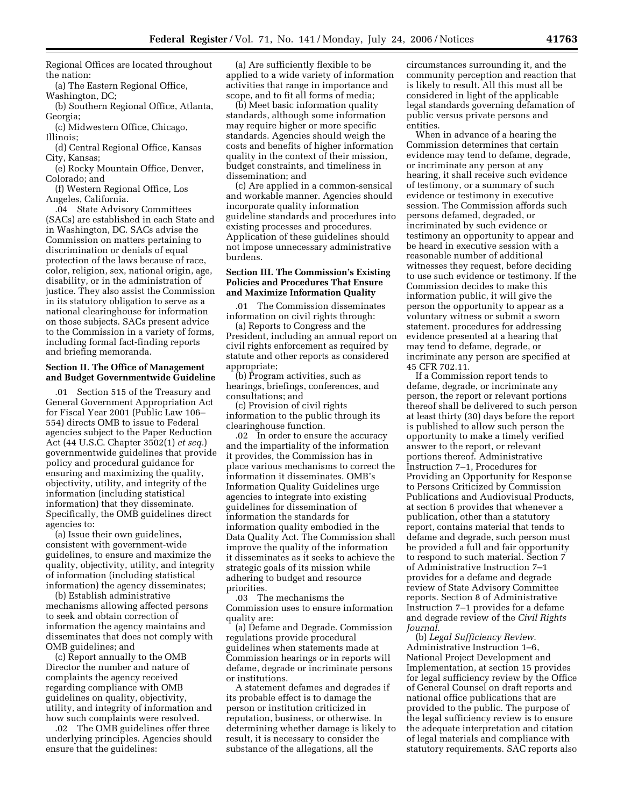Regional Offices are located throughout the nation:

(a) The Eastern Regional Office, Washington, DC;

(b) Southern Regional Office, Atlanta, Georgia;

(c) Midwestern Office, Chicago, Illinois;

(d) Central Regional Office, Kansas City, Kansas;

(e) Rocky Mountain Office, Denver, Colorado; and (f) Western Regional Office, Los

Angeles, California.

.04 State Advisory Committees (SACs) are established in each State and in Washington, DC. SACs advise the Commission on matters pertaining to discrimination or denials of equal protection of the laws because of race, color, religion, sex, national origin, age, disability, or in the administration of justice. They also assist the Commission in its statutory obligation to serve as a national clearinghouse for information on those subjects. SACs present advice to the Commission in a variety of forms, including formal fact-finding reports and briefing memoranda.

#### **Section II. The Office of Management and Budget Governmentwide Guideline**

.01 Section 515 of the Treasury and General Government Appropriation Act for Fiscal Year 2001 (Public Law 106– 554) directs OMB to issue to Federal agencies subject to the Paper Reduction Act (44 U.S.C. Chapter 3502(1) *et seq.*) governmentwide guidelines that provide policy and procedural guidance for ensuring and maximizing the quality, objectivity, utility, and integrity of the information (including statistical information) that they disseminate. Specifically, the OMB guidelines direct agencies to:

(a) Issue their own guidelines, consistent with government-wide guidelines, to ensure and maximize the quality, objectivity, utility, and integrity of information (including statistical information) the agency disseminates;

(b) Establish administrative mechanisms allowing affected persons to seek and obtain correction of information the agency maintains and disseminates that does not comply with OMB guidelines; and

(c) Report annually to the OMB Director the number and nature of complaints the agency received regarding compliance with OMB guidelines on quality, objectivity, utility, and integrity of information and how such complaints were resolved.

.02 The OMB guidelines offer three underlying principles. Agencies should ensure that the guidelines:

(a) Are sufficiently flexible to be applied to a wide variety of information activities that range in importance and scope, and to fit all forms of media;

(b) Meet basic information quality standards, although some information may require higher or more specific standards. Agencies should weigh the costs and benefits of higher information quality in the context of their mission, budget constraints, and timeliness in dissemination; and

(c) Are applied in a common-sensical and workable manner. Agencies should incorporate quality information guideline standards and procedures into existing processes and procedures. Application of these guidelines should not impose unnecessary administrative burdens.

#### **Section III. The Commission's Existing Policies and Procedures That Ensure and Maximize Information Quality**

The Commission disseminates information on civil rights through:

(a) Reports to Congress and the President, including an annual report on civil rights enforcement as required by statute and other reports as considered appropriate;

(b) Program activities, such as hearings, briefings, conferences, and consultations; and

(c) Provision of civil rights information to the public through its clearinghouse function.

.02 In order to ensure the accuracy and the impartiality of the information it provides, the Commission has in place various mechanisms to correct the information it disseminates. OMB's Information Quality Guidelines urge agencies to integrate into existing guidelines for dissemination of information the standards for information quality embodied in the Data Quality Act. The Commission shall improve the quality of the information it disseminates as it seeks to achieve the strategic goals of its mission while adhering to budget and resource priorities.

.03 The mechanisms the Commission uses to ensure information quality are:

(a) Defame and Degrade. Commission regulations provide procedural guidelines when statements made at Commission hearings or in reports will defame, degrade or incriminate persons or institutions.

A statement defames and degrades if its probable effect is to damage the person or institution criticized in reputation, business, or otherwise. In determining whether damage is likely to result, it is necessary to consider the substance of the allegations, all the

circumstances surrounding it, and the community perception and reaction that is likely to result. All this must all be considered in light of the applicable legal standards governing defamation of public versus private persons and entities.

When in advance of a hearing the Commission determines that certain evidence may tend to defame, degrade, or incriminate any person at any hearing, it shall receive such evidence of testimony, or a summary of such evidence or testimony in executive session. The Commission affords such persons defamed, degraded, or incriminated by such evidence or testimony an opportunity to appear and be heard in executive session with a reasonable number of additional witnesses they request, before deciding to use such evidence or testimony. If the Commission decides to make this information public, it will give the person the opportunity to appear as a voluntary witness or submit a sworn statement. procedures for addressing evidence presented at a hearing that may tend to defame, degrade, or incriminate any person are specified at 45 CFR 702.11.

If a Commission report tends to defame, degrade, or incriminate any person, the report or relevant portions thereof shall be delivered to such person at least thirty (30) days before the report is published to allow such person the opportunity to make a timely verified answer to the report, or relevant portions thereof. Administrative Instruction 7–1, Procedures for Providing an Opportunity for Response to Persons Criticized by Commission Publications and Audiovisual Products, at section 6 provides that whenever a publication, other than a statutory report, contains material that tends to defame and degrade, such person must be provided a full and fair opportunity to respond to such material. Section 7 of Administrative Instruction 7–1 provides for a defame and degrade review of State Advisory Committee reports. Section 8 of Administrative Instruction 7–1 provides for a defame and degrade review of the *Civil Rights Journal.* 

(b) *Legal Sufficiency Review.*  Administrative Instruction 1–6, National Project Development and Implementation, at section 15 provides for legal sufficiency review by the Office of General Counsel on draft reports and national office publications that are provided to the public. The purpose of the legal sufficiency review is to ensure the adequate interpretation and citation of legal materials and compliance with statutory requirements. SAC reports also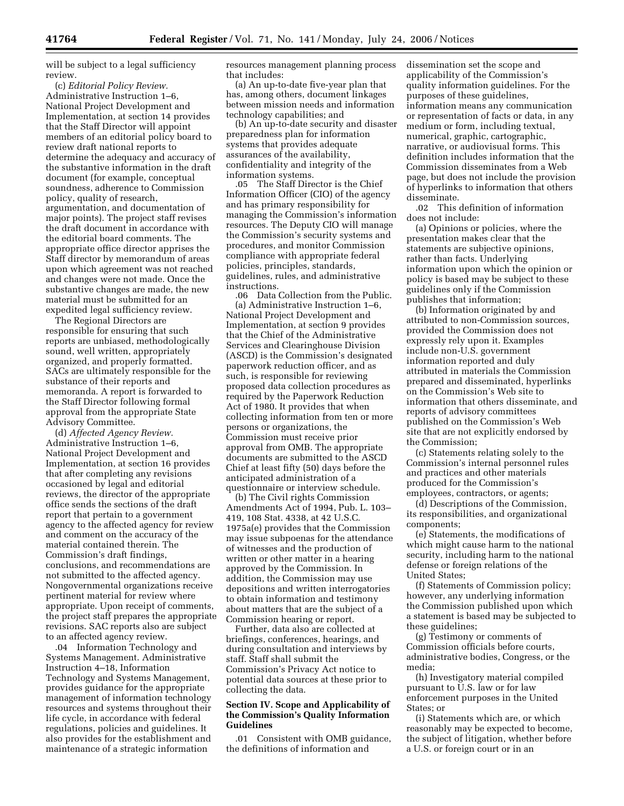will be subject to a legal sufficiency review.

(c) *Editorial Policy Review.*  Administrative Instruction 1–6, National Project Development and Implementation, at section 14 provides that the Staff Director will appoint members of an editorial policy board to review draft national reports to determine the adequacy and accuracy of the substantive information in the draft document (for example, conceptual soundness, adherence to Commission policy, quality of research, argumentation, and documentation of major points). The project staff revises the draft document in accordance with the editorial board comments. The appropriate office director apprises the Staff director by memorandum of areas upon which agreement was not reached and changes were not made. Once the substantive changes are made, the new material must be submitted for an expedited legal sufficiency review.

The Regional Directors are responsible for ensuring that such reports are unbiased, methodologically sound, well written, appropriately organized, and properly formatted. SACs are ultimately responsible for the substance of their reports and memoranda. A report is forwarded to the Staff Director following formal approval from the appropriate State Advisory Committee.

(d) *Affected Agency Review.*  Administrative Instruction 1–6, National Project Development and Implementation, at section 16 provides that after completing any revisions occasioned by legal and editorial reviews, the director of the appropriate office sends the sections of the draft report that pertain to a government agency to the affected agency for review and comment on the accuracy of the material contained therein. The Commission's draft findings, conclusions, and recommendations are not submitted to the affected agency. Nongovernmental organizations receive pertinent material for review where appropriate. Upon receipt of comments, the project staff prepares the appropriate revisions. SAC reports also are subject to an affected agency review.

.04 Information Technology and Systems Management. Administrative Instruction 4–18, Information Technology and Systems Management, provides guidance for the appropriate management of information technology resources and systems throughout their life cycle, in accordance with federal regulations, policies and guidelines. It also provides for the establishment and maintenance of a strategic information

resources management planning process that includes:

(a) An up-to-date five-year plan that has, among others, document linkages between mission needs and information technology capabilities; and

(b) An up-to-date security and disaster preparedness plan for information systems that provides adequate assurances of the availability, confidentiality and integrity of the information systems.

.05 The Staff Director is the Chief Information Officer (CIO) of the agency and has primary responsibility for managing the Commission's information resources. The Deputy CIO will manage the Commission's security systems and procedures, and monitor Commission compliance with appropriate federal policies, principles, standards, guidelines, rules, and administrative instructions.

.06 Data Collection from the Public. (a) Administrative Instruction 1–6, National Project Development and Implementation, at section 9 provides that the Chief of the Administrative Services and Clearinghouse Division (ASCD) is the Commission's designated paperwork reduction officer, and as such, is responsible for reviewing proposed data collection procedures as required by the Paperwork Reduction Act of 1980. It provides that when collecting information from ten or more persons or organizations, the Commission must receive prior approval from OMB. The appropriate documents are submitted to the ASCD Chief at least fifty (50) days before the anticipated administration of a questionnaire or interview schedule.

(b) The Civil rights Commission Amendments Act of 1994, Pub. L. 103– 419, 108 Stat. 4338, at 42 U.S.C. 1975a(e) provides that the Commission may issue subpoenas for the attendance of witnesses and the production of written or other matter in a hearing approved by the Commission. In addition, the Commission may use depositions and written interrogatories to obtain information and testimony about matters that are the subject of a Commission hearing or report.

Further, data also are collected at briefings, conferences, hearings, and during consultation and interviews by staff. Staff shall submit the Commission's Privacy Act notice to potential data sources at these prior to collecting the data.

#### **Section IV. Scope and Applicability of the Commission's Quality Information Guidelines**

.01 Consistent with OMB guidance, the definitions of information and

dissemination set the scope and applicability of the Commission's quality information guidelines. For the purposes of these guidelines, information means any communication or representation of facts or data, in any medium or form, including textual, numerical, graphic, cartographic, narrative, or audiovisual forms. This definition includes information that the Commission disseminates from a Web page, but does not include the provision of hyperlinks to information that others disseminate.

.02 This definition of information does not include:

(a) Opinions or policies, where the presentation makes clear that the statements are subjective opinions, rather than facts. Underlying information upon which the opinion or policy is based may be subject to these guidelines only if the Commission publishes that information;

(b) Information originated by and attributed to non-Commission sources, provided the Commission does not expressly rely upon it. Examples include non-U.S. government information reported and duly attributed in materials the Commission prepared and disseminated, hyperlinks on the Commission's Web site to information that others disseminate, and reports of advisory committees published on the Commission's Web site that are not explicitly endorsed by the Commission;

(c) Statements relating solely to the Commission's internal personnel rules and practices and other materials produced for the Commission's employees, contractors, or agents;

(d) Descriptions of the Commission, its responsibilities, and organizational components;

(e) Statements, the modifications of which might cause harm to the national security, including harm to the national defense or foreign relations of the United States;

(f) Statements of Commission policy; however, any underlying information the Commission published upon which a statement is based may be subjected to these guidelines;

(g) Testimony or comments of Commission officials before courts, administrative bodies, Congress, or the media;

(h) Investigatory material compiled pursuant to U.S. law or for law enforcement purposes in the United States; or

(i) Statements which are, or which reasonably may be expected to become, the subject of litigation, whether before a U.S. or foreign court or in an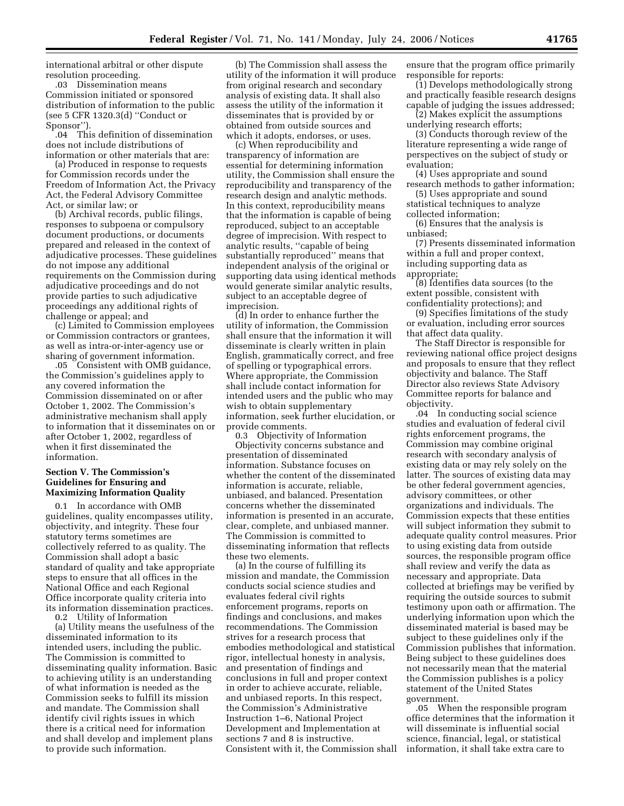international arbitral or other dispute resolution proceeding.

.03 Dissemination means Commission initiated or sponsored distribution of information to the public (see 5 CFR 1320.3(d) ''Conduct or Sponsor'').

.04 This definition of dissemination does not include distributions of information or other materials that are:

(a) Produced in response to requests for Commission records under the Freedom of Information Act, the Privacy Act, the Federal Advisory Committee Act, or similar law; or

(b) Archival records, public filings, responses to subpoena or compulsory document productions, or documents prepared and released in the context of adjudicative processes. These guidelines do not impose any additional requirements on the Commission during adjudicative proceedings and do not provide parties to such adjudicative proceedings any additional rights of challenge or appeal; and

(c) Limited to Commission employees or Commission contractors or grantees, as well as intra-or-inter-agency use or sharing of government information.

.05 Consistent with OMB guidance, the Commission's guidelines apply to any covered information the Commission disseminated on or after October 1, 2002. The Commission's administrative mechanism shall apply to information that it disseminates on or after October 1, 2002, regardless of when it first disseminated the information.

### **Section V. The Commission's Guidelines for Ensuring and Maximizing Information Quality**

0.1 In accordance with OMB guidelines, quality encompasses utility, objectivity, and integrity. These four statutory terms sometimes are collectively referred to as quality. The Commission shall adopt a basic standard of quality and take appropriate steps to ensure that all offices in the National Office and each Regional Office incorporate quality criteria into its information dissemination practices. 0.2 Utility of Information

(a) Utility means the usefulness of the disseminated information to its intended users, including the public. The Commission is committed to disseminating quality information. Basic to achieving utility is an understanding of what information is needed as the Commission seeks to fulfill its mission and mandate. The Commission shall identify civil rights issues in which there is a critical need for information and shall develop and implement plans to provide such information.

(b) The Commission shall assess the utility of the information it will produce from original research and secondary analysis of existing data. It shall also assess the utility of the information it disseminates that is provided by or obtained from outside sources and which it adopts, endorses, or uses.

(c) When reproducibility and transparency of information are essential for determining information utility, the Commission shall ensure the reproducibility and transparency of the research design and analytic methods. In this context, reproducibility means that the information is capable of being reproduced, subject to an acceptable degree of imprecision. With respect to analytic results, ''capable of being substantially reproduced'' means that independent analysis of the original or supporting data using identical methods would generate similar analytic results, subject to an acceptable degree of imprecision.

(d) In order to enhance further the utility of information, the Commission shall ensure that the information it will disseminate is clearly written in plain English, grammatically correct, and free of spelling or typographical errors. Where appropriate, the Commission shall include contact information for intended users and the public who may wish to obtain supplementary information, seek further elucidation, or provide comments.

0.3 Objectivity of Information Objectivity concerns substance and presentation of disseminated information. Substance focuses on whether the content of the disseminated information is accurate, reliable, unbiased, and balanced. Presentation concerns whether the disseminated information is presented in an accurate, clear, complete, and unbiased manner. The Commission is committed to disseminating information that reflects these two elements.

(a) In the course of fulfilling its mission and mandate, the Commission conducts social science studies and evaluates federal civil rights enforcement programs, reports on findings and conclusions, and makes recommendations. The Commission strives for a research process that embodies methodological and statistical rigor, intellectual honesty in analysis, and presentation of findings and conclusions in full and proper context in order to achieve accurate, reliable, and unbiased reports. In this respect, the Commission's Administrative Instruction 1–6, National Project Development and Implementation at sections 7 and 8 is instructive. Consistent with it, the Commission shall

ensure that the program office primarily responsible for reports:

(1) Develops methodologically strong and practically feasible research designs capable of judging the issues addressed;

(2) Makes explicit the assumptions underlying research efforts;

(3) Conducts thorough review of the literature representing a wide range of perspectives on the subject of study or evaluation;

(4) Uses appropriate and sound research methods to gather information;

(5) Uses appropriate and sound statistical techniques to analyze collected information;

(6) Ensures that the analysis is unbiased;

(7) Presents disseminated information within a full and proper context, including supporting data as appropriate;

(8) Identifies data sources (to the extent possible, consistent with confidentiality protections); and

(9) Specifies limitations of the study or evaluation, including error sources that affect data quality.

The Staff Director is responsible for reviewing national office project designs and proposals to ensure that they reflect objectivity and balance. The Staff Director also reviews State Advisory Committee reports for balance and objectivity.

.04 In conducting social science studies and evaluation of federal civil rights enforcement programs, the Commission may combine original research with secondary analysis of existing data or may rely solely on the latter. The sources of existing data may be other federal government agencies, advisory committees, or other organizations and individuals. The Commission expects that these entities will subject information they submit to adequate quality control measures. Prior to using existing data from outside sources, the responsible program office shall review and verify the data as necessary and appropriate. Data collected at briefings may be verified by requiring the outside sources to submit testimony upon oath or affirmation. The underlying information upon which the disseminated material is based may be subject to these guidelines only if the Commission publishes that information. Being subject to these guidelines does not necessarily mean that the material the Commission publishes is a policy statement of the United States government.

.05 When the responsible program office determines that the information it will disseminate is influential social science, financial, legal, or statistical information, it shall take extra care to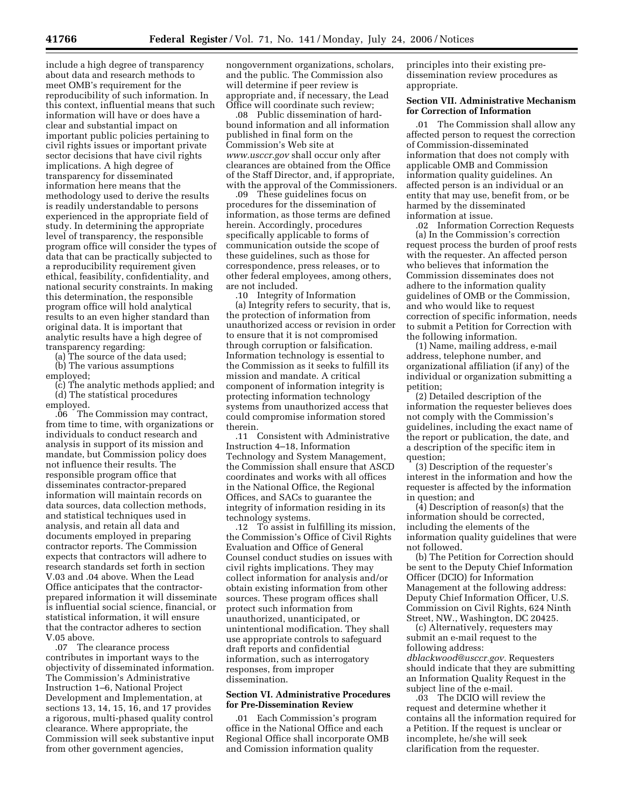include a high degree of transparency about data and research methods to meet OMB's requirement for the reproducibility of such information. In this context, influential means that such information will have or does have a clear and substantial impact on important public policies pertaining to civil rights issues or important private sector decisions that have civil rights implications. A high degree of transparency for disseminated information here means that the methodology used to derive the results is readily understandable to persons experienced in the appropriate field of study. In determining the appropriate level of transparency, the responsible program office will consider the types of data that can be practically subjected to a reproducibility requirement given ethical, feasibility, confidentiality, and national security constraints. In making this determination, the responsible program office will hold analytical results to an even higher standard than original data. It is important that analytic results have a high degree of transparency regarding:

(a) The source of the data used;

(b) The various assumptions employed;

(c) The analytic methods applied; and (d) The statistical procedures

employed.<br>O6 The. The Commission may contract, from time to time, with organizations or individuals to conduct research and analysis in support of its mission and mandate, but Commission policy does not influence their results. The responsible program office that disseminates contractor-prepared information will maintain records on data sources, data collection methods, and statistical techniques used in analysis, and retain all data and documents employed in preparing contractor reports. The Commission expects that contractors will adhere to research standards set forth in section V.03 and .04 above. When the Lead Office anticipates that the contractorprepared information it will disseminate is influential social science, financial, or statistical information, it will ensure that the contractor adheres to section V.05 above.

.07 The clearance process contributes in important ways to the objectivity of disseminated information. The Commission's Administrative Instruction 1–6, National Project Development and Implementation, at sections 13, 14, 15, 16, and 17 provides a rigorous, multi-phased quality control clearance. Where appropriate, the Commission will seek substantive input from other government agencies,

nongovernment organizations, scholars, and the public. The Commission also will determine if peer review is appropriate and, if necessary, the Lead Office will coordinate such review;

.08 Public dissemination of hardbound information and all information published in final form on the Commission's Web site at *www.usccr.gov* shall occur only after clearances are obtained from the Office of the Staff Director, and, if appropriate, with the approval of the Commissioners.

.09 These guidelines focus on procedures for the dissemination of information, as those terms are defined herein. Accordingly, procedures specifically applicable to forms of communication outside the scope of these guidelines, such as those for correspondence, press releases, or to other federal employees, among others, are not included.

.10 Integrity of Information (a) Integrity refers to security, that is, the protection of information from unauthorized access or revision in order to ensure that it is not compromised through corruption or falsification. Information technology is essential to the Commission as it seeks to fulfill its mission and mandate. A critical component of information integrity is protecting information technology systems from unauthorized access that could compromise information stored therein.

.11 Consistent with Administrative Instruction 4–18, Information Technology and System Management, the Commission shall ensure that ASCD coordinates and works with all offices in the National Office, the Regional Offices, and SACs to guarantee the integrity of information residing in its technology systems.

.12 To assist in fulfilling its mission, the Commission's Office of Civil Rights Evaluation and Office of General Counsel conduct studies on issues with civil rights implications. They may collect information for analysis and/or obtain existing information from other sources. These program offices shall protect such information from unauthorized, unanticipated, or unintentional modification. They shall use appropriate controls to safeguard draft reports and confidential information, such as interrogatory responses, from improper dissemination.

### **Section VI. Administrative Procedures for Pre-Dissemination Review**

.01 Each Commission's program office in the National Office and each Regional Office shall incorporate OMB and Comission information quality

principles into their existing predissemination review procedures as appropriate.

# **Section VII. Administrative Mechanism for Correction of Information**

.01 The Commission shall allow any affected person to request the correction of Commission-disseminated information that does not comply with applicable OMB and Commission information quality guidelines. An affected person is an individual or an entity that may use, benefit from, or be harmed by the disseminated information at issue.

.02 Information Correction Requests (a) In the Commission's correction request process the burden of proof rests with the requester. An affected person who believes that information the Commission disseminates does not adhere to the information quality guidelines of OMB or the Commission, and who would like to request correction of specific information, needs to submit a Petition for Correction with the following information.

(1) Name, mailing address, e-mail address, telephone number, and organizational affiliation (if any) of the individual or organization submitting a petition;

(2) Detailed description of the information the requester believes does not comply with the Commission's guidelines, including the exact name of the report or publication, the date, and a description of the specific item in question;

(3) Description of the requester's interest in the information and how the requester is affected by the information in question; and

 $(4)$  Description of reason(s) that the information should be corrected, including the elements of the information quality guidelines that were not followed.

(b) The Petition for Correction should be sent to the Deputy Chief Information Officer (DCIO) for Information Management at the following address: Deputy Chief Information Officer, U.S. Commission on Civil Rights, 624 Ninth Street, NW., Washington, DC 20425.

(c) Alternatively, requesters may submit an e-mail request to the following address: *dblackwood@usccr.gov.* Requesters should indicate that they are submitting an Information Quality Request in the subject line of the e-mail.

.03 The DCIO will review the request and determine whether it contains all the information required for a Petition. If the request is unclear or incomplete, he/she will seek clarification from the requester.